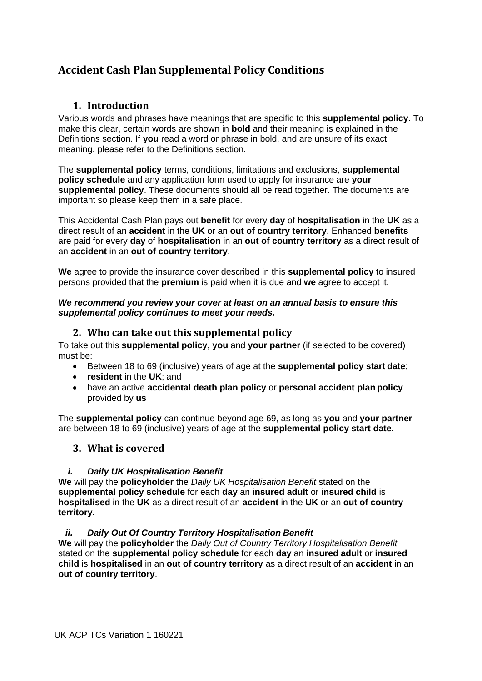# **Accident Cash Plan Supplemental Policy Conditions**

## **1. Introduction**

Various words and phrases have meanings that are specific to this **supplemental policy**. To make this clear, certain words are shown in **bold** and their meaning is explained in the Definitions section. If **you** read a word or phrase in bold, and are unsure of its exact meaning, please refer to the Definitions section.

The **supplemental policy** terms, conditions, limitations and exclusions, **supplemental policy schedule** and any application form used to apply for insurance are **your supplemental policy**. These documents should all be read together. The documents are important so please keep them in a safe place.

This Accidental Cash Plan pays out **benefit** for every **day** of **hospitalisation** in the **UK** as a direct result of an **accident** in the **UK** or an **out of country territory**. Enhanced **benefits**  are paid for every **day** of **hospitalisation** in an **out of country territory** as a direct result of an **accident** in an **out of country territory**.

**We** agree to provide the insurance cover described in this **supplemental policy** to insured persons provided that the **premium** is paid when it is due and **we** agree to accept it.

#### *We recommend you review your cover at least on an annual basis to ensure this supplemental policy continues to meet your needs.*

## **2. Who can take out this supplemental policy**

To take out this **supplemental policy**, **you** and **your partner** (if selected to be covered) must be:

- Between 18 to 69 (inclusive) years of age at the **supplemental policy start date**;
- **resident** in the **UK**; and
- have an active **accidental death plan policy** or **personal accident plan policy** provided by **us**

The **supplemental policy** can continue beyond age 69, as long as **you** and **your partner** are between 18 to 69 (inclusive) years of age at the **supplemental policy start date.**

## **3. What is covered**

### *i. Daily UK Hospitalisation Benefit*

**We** will pay the **policyholder** the *Daily UK Hospitalisation Benefit* stated on the **supplemental policy schedule** for each **day** an **insured adult** or **insured child** is **hospitalised** in the **UK** as a direct result of an **accident** in the **UK** or an **out of country territory.**

## *ii. Daily Out Of Country Territory Hospitalisation Benefit*

**We** will pay the **policyholder** the *Daily Out of Country Territory Hospitalisation Benefit*  stated on the **supplemental policy schedule** for each **day** an **insured adult** or **insured child** is **hospitalised** in an **out of country territory** as a direct result of an **accident** in an **out of country territory**.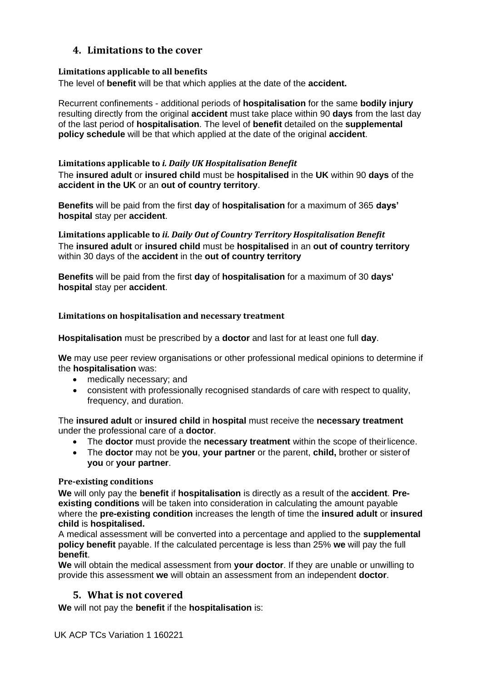## **4. Limitations to the cover**

### **Limitations applicable to all benefits**

The level of **benefit** will be that which applies at the date of the **accident.**

Recurrent confinements - additional periods of **hospitalisation** for the same **bodily injury**  resulting directly from the original **accident** must take place within 90 **days** from the last day of the last period of **hospitalisation**. The level of **benefit** detailed on the **supplemental policy schedule** will be that which applied at the date of the original **accident**.

### **Limitations applicable to** *i. Daily UK Hospitalisation Benefit*

The **insured adult** or **insured child** must be **hospitalised** in the **UK** within 90 **days** of the **accident in the UK** or an **out of country territory**.

**Benefits** will be paid from the first **day** of **hospitalisation** for a maximum of 365 **days' hospital** stay per **accident**.

**Limitations applicable to** *ii. Daily Out of Country Territory Hospitalisation Benefit* The **insured adult** or **insured child** must be **hospitalised** in an **out of country territory** within 30 days of the **accident** in the **out of country territory**

**Benefits** will be paid from the first **day** of **hospitalisation** for a maximum of 30 **days' hospital** stay per **accident**.

### **Limitations on hospitalisation and necessary treatment**

**Hospitalisation** must be prescribed by a **doctor** and last for at least one full **day**.

**We** may use peer review organisations or other professional medical opinions to determine if the **hospitalisation** was:

- medically necessary; and
- consistent with professionally recognised standards of care with respect to quality, frequency, and duration.

The **insured adult** or **insured child** in **hospital** must receive the **necessary treatment** under the professional care of a **doctor**.

- The **doctor** must provide the **necessary treatment** within the scope of theirlicence.
- The **doctor** may not be **you**, **your partner** or the parent, **child,** brother or sisterof **you** or **your partner**.

### **Pre-existing conditions**

**We** will only pay the **benefit** if **hospitalisation** is directly as a result of the **accident**. **Preexisting conditions** will be taken into consideration in calculating the amount payable where the **pre-existing condition** increases the length of time the **insured adult** or **insured child** is **hospitalised.**

A medical assessment will be converted into a percentage and applied to the **supplemental policy benefit** payable. If the calculated percentage is less than 25% **we** will pay the full **benefit**.

**We** will obtain the medical assessment from **your doctor**. If they are unable or unwilling to provide this assessment **we** will obtain an assessment from an independent **doctor**.

## **5. What is not covered**

**We** will not pay the **benefit** if the **hospitalisation** is: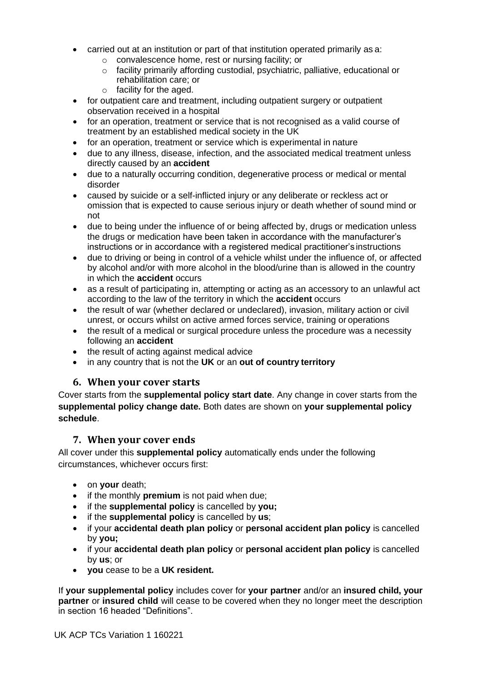- carried out at an institution or part of that institution operated primarily as a:
	- o convalescence home, rest or nursing facility; or
	- $\circ$  facility primarily affording custodial, psychiatric, palliative, educational or rehabilitation care; or
	- o facility for the aged.
- for outpatient care and treatment, including outpatient surgery or outpatient observation received in a hospital
- for an operation, treatment or service that is not recognised as a valid course of treatment by an established medical society in the UK
- for an operation, treatment or service which is experimental in nature
- due to any illness, disease, infection, and the associated medical treatment unless directly caused by an **accident**
- due to a naturally occurring condition, degenerative process or medical or mental disorder
- caused by suicide or a self-inflicted injury or any deliberate or reckless act or omission that is expected to cause serious injury or death whether of sound mind or not
- due to being under the influence of or being affected by, drugs or medication unless the drugs or medication have been taken in accordance with the manufacturer's instructions or in accordance with a registered medical practitioner's instructions
- due to driving or being in control of a vehicle whilst under the influence of, or affected by alcohol and/or with more alcohol in the blood/urine than is allowed in the country in which the **accident** occurs
- as a result of participating in, attempting or acting as an accessory to an unlawful act according to the law of the territory in which the **accident** occurs
- the result of war (whether declared or undeclared), invasion, military action or civil unrest, or occurs whilst on active armed forces service, training or operations
- the result of a medical or surgical procedure unless the procedure was a necessity following an **accident**
- the result of acting against medical advice
- in any country that is not the **UK** or an **out of country territory**

## **6. When your cover starts**

Cover starts from the **supplemental policy start date**. Any change in cover starts from the **supplemental policy change date.** Both dates are shown on **your supplemental policy schedule**.

## **7. When your cover ends**

All cover under this **supplemental policy** automatically ends under the following circumstances, whichever occurs first:

- on **your** death;
- if the monthly **premium** is not paid when due;
- if the **supplemental policy** is cancelled by **you;**
- if the **supplemental policy** is cancelled by **us**;
- if your **accidental death plan policy** or **personal accident plan policy** is cancelled by **you;**
- if your **accidental death plan policy** or **personal accident plan policy** is cancelled by **us**; or
- **you** cease to be a **UK resident.**

If **your supplemental policy** includes cover for **your partner** and/or an **insured child, your partner** or **insured child** will cease to be covered when they no longer meet the description in section 16 headed "Definitions".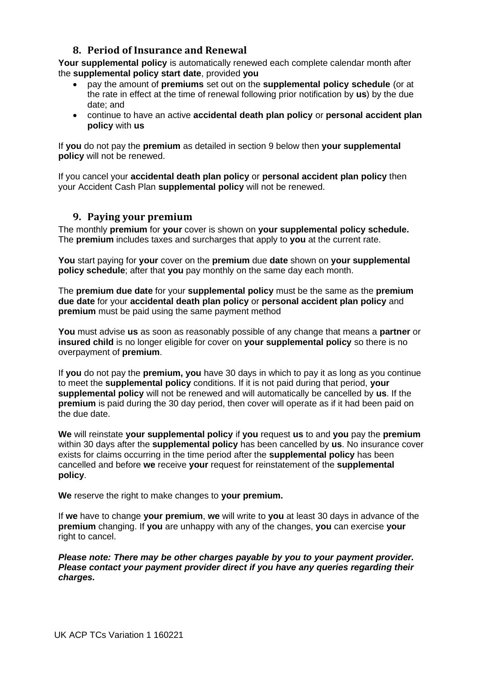## **8. Period of Insurance and Renewal**

**Your supplemental policy** is automatically renewed each complete calendar month after the **supplemental policy start date**, provided **you**

- pay the amount of **premiums** set out on the **supplemental policy schedule** (or at the rate in effect at the time of renewal following prior notification by **us**) by the due date; and
- continue to have an active **accidental death plan policy** or **personal accident plan policy** with **us**

If **you** do not pay the **premium** as detailed in section 9 below then **your supplemental policy** will not be renewed.

If you cancel your **accidental death plan policy** or **personal accident plan policy** then your Accident Cash Plan **supplemental policy** will not be renewed.

## **9. Paying your premium**

The monthly **premium** for **your** cover is shown on **your supplemental policy schedule.** The **premium** includes taxes and surcharges that apply to **you** at the current rate.

**You** start paying for **your** cover on the **premium** due **date** shown on **your supplemental policy schedule**; after that **you** pay monthly on the same day each month.

The **premium due date** for your **supplemental policy** must be the same as the **premium due date** for your **accidental death plan policy** or **personal accident plan policy** and **premium** must be paid using the same payment method

**You** must advise **us** as soon as reasonably possible of any change that means a **partner** or **insured child** is no longer eligible for cover on **your supplemental policy** so there is no overpayment of **premium**.

If **you** do not pay the **premium, you** have 30 days in which to pay it as long as you continue to meet the **supplemental policy** conditions. If it is not paid during that period, **your supplemental policy** will not be renewed and will automatically be cancelled by **us**. If the **premium** is paid during the 30 day period, then cover will operate as if it had been paid on the due date.

**We** will reinstate **your supplemental policy** if **you** request **us** to and **you** pay the **premium**  within 30 days after the **supplemental policy** has been cancelled by **us**. No insurance cover exists for claims occurring in the time period after the **supplemental policy** has been cancelled and before **we** receive **your** request for reinstatement of the **supplemental policy**.

**We** reserve the right to make changes to **your premium.**

If **we** have to change **your premium**, **we** will write to **you** at least 30 days in advance of the **premium** changing. If **you** are unhappy with any of the changes, **you** can exercise **your**  right to cancel.

*Please note: There may be other charges payable by you to your payment provider. Please contact your payment provider direct if you have any queries regarding their charges.*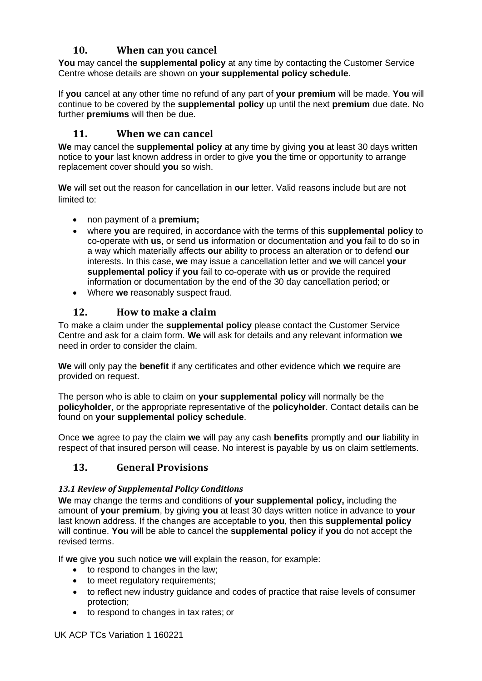## **10. When can you cancel**

**You** may cancel the **supplemental policy** at any time by contacting the Customer Service Centre whose details are shown on **your supplemental policy schedule**.

If **you** cancel at any other time no refund of any part of **your premium** will be made. **You** will continue to be covered by the **supplemental policy** up until the next **premium** due date. No further **premiums** will then be due.

## **11. When we can cancel**

**We** may cancel the **supplemental policy** at any time by giving **you** at least 30 days written notice to **your** last known address in order to give **you** the time or opportunity to arrange replacement cover should **you** so wish.

**We** will set out the reason for cancellation in **our** letter. Valid reasons include but are not limited to:

- non payment of a **premium;**
- where **you** are required, in accordance with the terms of this **supplemental policy** to co-operate with **us**, or send **us** information or documentation and **you** fail to do so in a way which materially affects **our** ability to process an alteration or to defend **our**  interests. In this case, **we** may issue a cancellation letter and **we** will cancel **your supplemental policy** if **you** fail to co-operate with **us** or provide the required information or documentation by the end of the 30 day cancellation period; or
- Where **we** reasonably suspect fraud.

## **12. How to make a claim**

To make a claim under the **supplemental policy** please contact the Customer Service Centre and ask for a claim form. **We** will ask for details and any relevant information **we**  need in order to consider the claim.

**We** will only pay the **benefit** if any certificates and other evidence which **we** require are provided on request.

The person who is able to claim on **your supplemental policy** will normally be the **policyholder**, or the appropriate representative of the **policyholder**. Contact details can be found on **your supplemental policy schedule**.

Once **we** agree to pay the claim **we** will pay any cash **benefits** promptly and **our** liability in respect of that insured person will cease. No interest is payable by **us** on claim settlements.

## **13. General Provisions**

### *13.1 Review of Supplemental Policy Conditions*

**We** may change the terms and conditions of **your supplemental policy,** including the amount of **your premium**, by giving **you** at least 30 days written notice in advance to **your**  last known address. If the changes are acceptable to **you**, then this **supplemental policy**  will continue. **You** will be able to cancel the **supplemental policy** if **you** do not accept the revised terms.

If **we** give **you** such notice **we** will explain the reason, for example:

- to respond to changes in the law;
- to meet regulatory requirements;
- to reflect new industry guidance and codes of practice that raise levels of consumer protection;
- to respond to changes in tax rates; or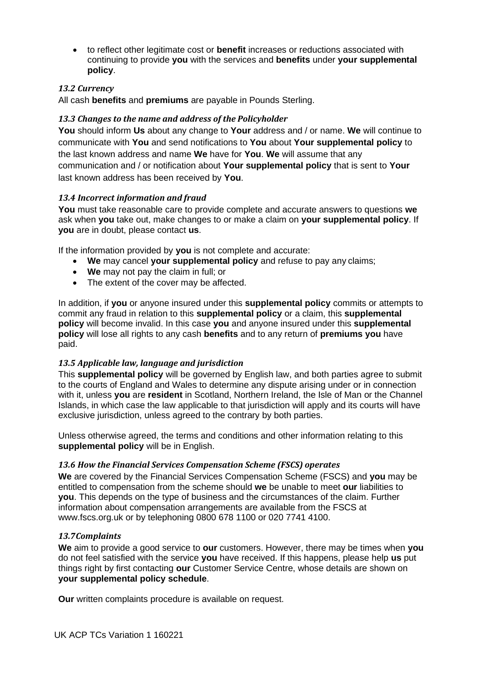• to reflect other legitimate cost or **benefit** increases or reductions associated with continuing to provide **you** with the services and **benefits** under **your supplemental policy**.

### *13.2 Currency*

All cash **benefits** and **premiums** are payable in Pounds Sterling.

### *13.3 Changes to the name and address of the Policyholder*

**You** should inform **Us** about any change to **Your** address and / or name. **We** will continue to communicate with **You** and send notifications to **You** about **Your supplemental policy** to the last known address and name **We** have for **You**. **We** will assume that any communication and / or notification about **Your supplemental policy** that is sent to **Your**  last known address has been received by **You**.

### *13.4 Incorrect information and fraud*

**You** must take reasonable care to provide complete and accurate answers to questions **we**  ask when **you** take out, make changes to or make a claim on **your supplemental policy**. If **you** are in doubt, please contact **us**.

If the information provided by **you** is not complete and accurate:

- **We** may cancel **your supplemental policy** and refuse to pay any claims;
- **We** may not pay the claim in full; or
- The extent of the cover may be affected.

In addition, if **you** or anyone insured under this **supplemental policy** commits or attempts to commit any fraud in relation to this **supplemental policy** or a claim, this **supplemental policy** will become invalid. In this case **you** and anyone insured under this **supplemental policy** will lose all rights to any cash **benefits** and to any return of **premiums you** have paid.

### *13.5 Applicable law, language and jurisdiction*

This **supplemental policy** will be governed by English law, and both parties agree to submit to the courts of England and Wales to determine any dispute arising under or in connection with it, unless **you** are **resident** in Scotland, Northern Ireland, the Isle of Man or the Channel Islands, in which case the law applicable to that jurisdiction will apply and its courts will have exclusive jurisdiction, unless agreed to the contrary by both parties.

Unless otherwise agreed, the terms and conditions and other information relating to this **supplemental policy** will be in English.

### *13.6 How the Financial Services Compensation Scheme (FSCS) operates*

**We** are covered by the Financial Services Compensation Scheme (FSCS) and **you** may be entitled to compensation from the scheme should **we** be unable to meet **our** liabilities to **you**. This depends on the type of business and the circumstances of the claim. Further information about compensation arrangements are available from the FSCS at [www.fscs.org.uk o](http://www.fscs.org.uk/)r by telephoning 0800 678 1100 or 020 7741 4100.

### *13.7Complaints*

**We** aim to provide a good service to **our** customers. However, there may be times when **you**  do not feel satisfied with the service **you** have received. If this happens, please help **us** put things right by first contacting **our** Customer Service Centre, whose details are shown on **your supplemental policy schedule**.

**Our** written complaints procedure is available on request.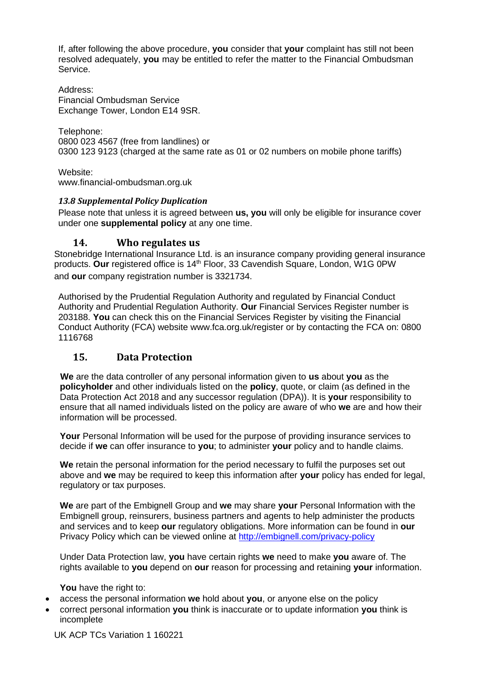If, after following the above procedure, **you** consider that **your** complaint has still not been resolved adequately, **you** may be entitled to refer the matter to the Financial Ombudsman Service.

Address: Financial Ombudsman Service Exchange Tower, London E14 9SR.

Telephone: 0800 023 4567 (free from landlines) or 0300 123 9123 (charged at the same rate as 01 or 02 numbers on mobile phone tariffs)

Website: [www.financial-ombudsman.org.uk](http://www.financial-ombudsman.org.uk/)

## *13.8 Supplemental Policy Duplication*

Please note that unless it is agreed between **us, you** will only be eligible for insurance cover under one **supplemental policy** at any one time.

## **14. Who regulates us**

Stonebridge International Insurance Ltd. is an insurance company providing general insurance products. **Our** registered office is 14th Floor, 33 Cavendish Square, London, W1G 0PW and **our** company registration number is 3321734.

Authorised by the Prudential Regulation Authority and regulated by Financial Conduct Authority and Prudential Regulation Authority. **Our** Financial Services Register number is 203188. **You** can check this on the Financial Services Register by visiting the Financial Conduct Authority (FCA) website [www.fca.org.uk/register o](http://www.fca.org.uk/register)r by contacting the FCA on: 0800 1116768

## **15. Data Protection**

 **We** are the data controller of any personal information given to **us** about **you** as the **policyholder** and other individuals listed on the **policy**, quote, or claim (as defined in the Data Protection Act 2018 and any successor regulation (DPA)). It is **your** responsibility to ensure that all named individuals listed on the policy are aware of who **we** are and how their information will be processed.

**Your** Personal Information will be used for the purpose of providing insurance services to decide if **we** can offer insurance to **you**; to administer **your** policy and to handle claims.

**We** retain the personal information for the period necessary to fulfil the purposes set out above and **we** may be required to keep this information after **your** policy has ended for legal, regulatory or tax purposes.

**We** are part of the Embignell Group and **we** may share **your** Personal Information with the Embignell group, reinsurers, business partners and agents to help administer the products and services and to keep **our** regulatory obligations. More information can be found in **our** Privacy Policy which can be viewed online at<http://embignell.com/privacy-policy>

Under Data Protection law, **you** have certain rights **we** need to make **you** aware of. The rights available to **you** depend on **our** reason for processing and retaining **your** information.

**You** have the right to:

- access the personal information **we** hold about **you**, or anyone else on the policy
- correct personal information **you** think is inaccurate or to update information **you** think is incomplete

UK ACP TCs Variation 1 160221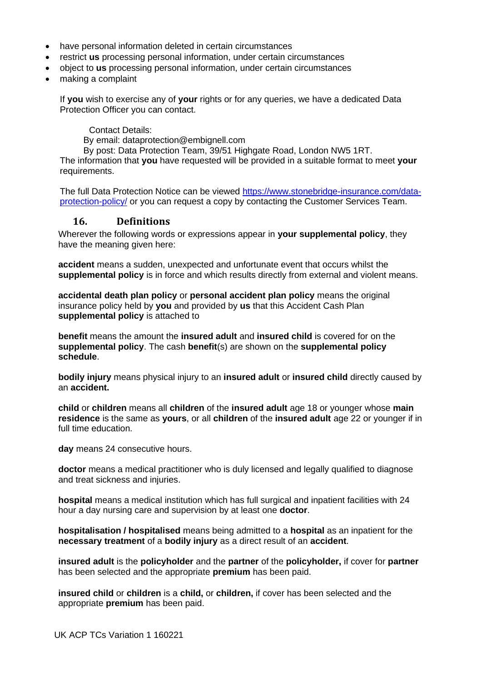- have personal information deleted in certain circumstances
- restrict **us** processing personal information, under certain circumstances
- object to **us** processing personal information, under certain circumstances
- making a complaint

If **you** wish to exercise any of **your** rights or for any queries, we have a dedicated Data Protection Officer you can contact.

Contact Details:

By email: dataprotection@embignell.com

By post: Data Protection Team, 39/51 Highgate Road, London NW5 1RT.

The information that **you** have requested will be provided in a suitable format to meet **your**  requirements.

The full Data Protection Notice can be viewed [https://www.stonebridge-insurance.com/data](https://www.stonebridge-insurance.com/data-protection-policy/)[protection-policy/](https://www.stonebridge-insurance.com/data-protection-policy/) or you can request a copy by contacting the Customer Services Team.

### **16. Definitions**

Wherever the following words or expressions appear in **your supplemental policy**, they have the meaning given here:

**accident** means a sudden, unexpected and unfortunate event that occurs whilst the **supplemental policy** is in force and which results directly from external and violent means.

**accidental death plan policy** or **personal accident plan policy** means the original insurance policy held by **you** and provided by **us** that this Accident Cash Plan **supplemental policy** is attached to

**benefit** means the amount the **insured adult** and **insured child** is covered for on the **supplemental policy**. The cash **benefit**(s) are shown on the **supplemental policy schedule**.

**bodily injury** means physical injury to an **insured adult** or **insured child** directly caused by an **accident.**

**child** or **children** means all **children** of the **insured adult** age 18 or younger whose **main residence** is the same as **yours**, or all **children** of the **insured adult** age 22 or younger if in full time education.

**day** means 24 consecutive hours.

**doctor** means a medical practitioner who is duly licensed and legally qualified to diagnose and treat sickness and injuries.

**hospital** means a medical institution which has full surgical and inpatient facilities with 24 hour a day nursing care and supervision by at least one **doctor**.

**hospitalisation / hospitalised** means being admitted to a **hospital** as an inpatient for the **necessary treatment** of a **bodily injury** as a direct result of an **accident**.

**insured adult** is the **policyholder** and the **partner** of the **policyholder,** if cover for **partner** has been selected and the appropriate **premium** has been paid.

**insured child** or **children** is a **child,** or **children,** if cover has been selected and the appropriate **premium** has been paid.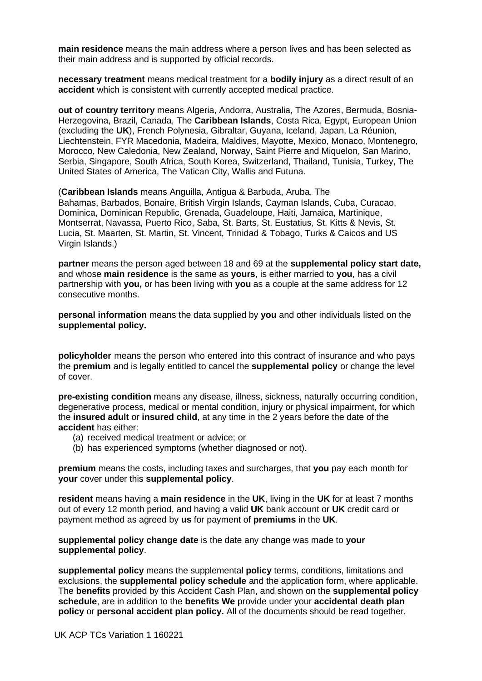**main residence** means the main address where a person lives and has been selected as their main address and is supported by official records.

**necessary treatment** means medical treatment for a **bodily injury** as a direct result of an **accident** which is consistent with currently accepted medical practice.

**out of country territory** means Algeria, Andorra, Australia, The Azores, Bermuda, Bosnia-Herzegovina, Brazil, Canada, The **Caribbean Islands**, Costa Rica, Egypt, European Union (excluding the **UK**), French Polynesia, Gibraltar, Guyana, Iceland, Japan, La Réunion, Liechtenstein, FYR Macedonia, Madeira, Maldives, Mayotte, Mexico, Monaco, Montenegro, Morocco, New Caledonia, New Zealand, Norway, Saint Pierre and Miquelon, San Marino, Serbia, Singapore, South Africa, South Korea, Switzerland, Thailand, Tunisia, Turkey, The United States of America, The Vatican City, Wallis and Futuna.

(**Caribbean Islands** means Anguilla, Antigua & Barbuda, Aruba, The Bahamas, Barbados, Bonaire, British Virgin Islands, Cayman Islands, Cuba, Curacao, Dominica, Dominican Republic, Grenada, Guadeloupe, Haiti, Jamaica, Martinique, Montserrat, Navassa, Puerto Rico, Saba, St. Barts, St. Eustatius, St. Kitts & Nevis, St. Lucia, St. Maarten, St. Martin, St. Vincent, Trinidad & Tobago, Turks & Caicos and US Virgin Islands.)

**partner** means the person aged between 18 and 69 at the **supplemental policy start date,**  and whose **main residence** is the same as **yours**, is either married to **you**, has a civil partnership with **you,** or has been living with **you** as a couple at the same address for 12 consecutive months.

**personal information** means the data supplied by **you** and other individuals listed on the **supplemental policy.**

**policyholder** means the person who entered into this contract of insurance and who pays the **premium** and is legally entitled to cancel the **supplemental policy** or change the level of cover.

**pre-existing condition** means any disease, illness, sickness, naturally occurring condition, degenerative process, medical or mental condition, injury or physical impairment, for which the **insured adult** or **insured child**, at any time in the 2 years before the date of the **accident** has either:

- (a) received medical treatment or advice; or
- (b) has experienced symptoms (whether diagnosed or not).

**premium** means the costs, including taxes and surcharges, that **you** pay each month for **your** cover under this **supplemental policy**.

**resident** means having a **main residence** in the **UK**, living in the **UK** for at least 7 months out of every 12 month period, and having a valid **UK** bank account or **UK** credit card or payment method as agreed by **us** for payment of **premiums** in the **UK**.

**supplemental policy change date** is the date any change was made to **your supplemental policy**.

**supplemental policy** means the supplemental **policy** terms, conditions, limitations and exclusions, the **supplemental policy schedule** and the application form, where applicable. The **benefits** provided by this Accident Cash Plan, and shown on the **supplemental policy schedule**, are in addition to the **benefits We** provide under your **accidental death plan policy** or **personal accident plan policy.** All of the documents should be read together.